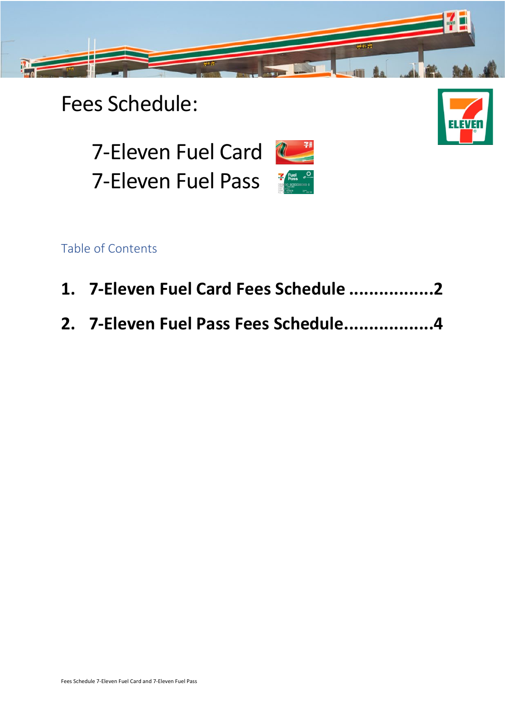

### Fees Schedule:



7-Eleven Fuel Card 7-Eleven Fuel Pass

Table of Contents

- **1. [7-Eleven Fuel Card Fees Schedule](#page-1-0) .................2**
- **2. [7-Eleven Fuel Pass Fees Schedule..................4](#page-3-0)**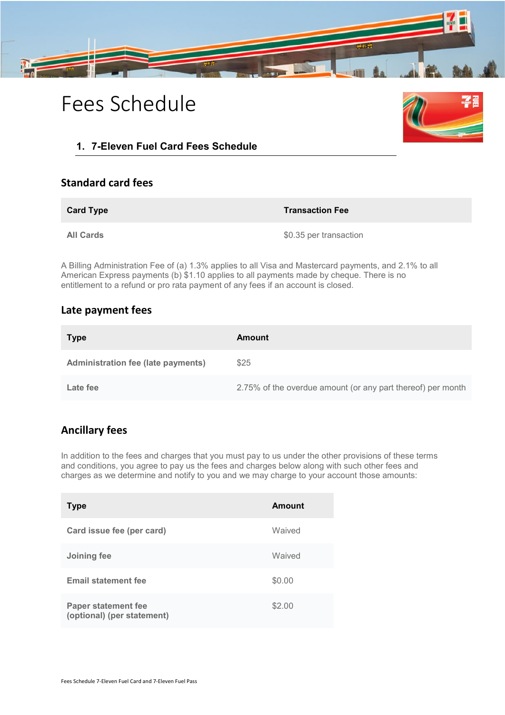

## Fees Schedule



#### <span id="page-1-0"></span>**1. 7-Eleven Fuel Card Fees Schedule**

#### **Standard card fees**

**Card Type Transaction Fee**

**All Cards**  $$0.35$  per transaction

A Billing Administration Fee of (a) 1.3% applies to all Visa and Mastercard payments, and 2.1% to all American Express payments (b) \$1.10 applies to all payments made by cheque. There is no entitlement to a refund or pro rata payment of any fees if an account is closed.

#### **Late payment fees**

| <b>Type</b>                               | Amount                                                      |
|-------------------------------------------|-------------------------------------------------------------|
| <b>Administration fee (late payments)</b> | \$25                                                        |
| Late fee                                  | 2.75% of the overdue amount (or any part thereof) per month |

### **Ancillary fees**

In addition to the fees and charges that you must pay to us under the other provisions of these terms and conditions, you agree to pay us the fees and charges below along with such other fees and charges as we determine and notify to you and we may charge to your account those amounts:

| <b>Type</b>                                              | Amount |
|----------------------------------------------------------|--------|
| Card issue fee (per card)                                | Waived |
| Joining fee                                              | Waived |
| <b>Email statement fee</b>                               | \$0.00 |
| <b>Paper statement fee</b><br>(optional) (per statement) | \$2.00 |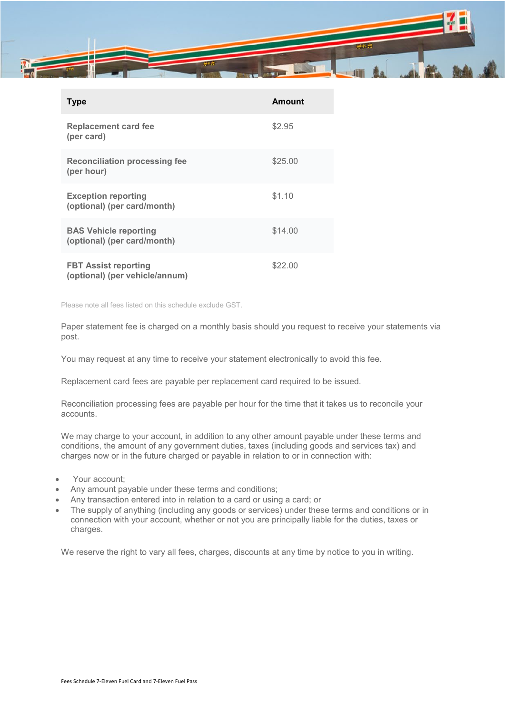

| <b>Type</b>                                                   | Amount  |
|---------------------------------------------------------------|---------|
| <b>Replacement card fee</b><br>(per card)                     | \$2.95  |
| <b>Reconciliation processing fee</b><br>(per hour)            | \$25.00 |
| <b>Exception reporting</b><br>(optional) (per card/month)     | \$1.10  |
| <b>BAS Vehicle reporting</b><br>(optional) (per card/month)   | \$14.00 |
| <b>FBT Assist reporting</b><br>(optional) (per vehicle/annum) | \$22.00 |

Please note all fees listed on this schedule exclude GST.

Paper statement fee is charged on a monthly basis should you request to receive your statements via post.

You may request at any time to receive your statement electronically to avoid this fee.

Replacement card fees are payable per replacement card required to be issued.

Reconciliation processing fees are payable per hour for the time that it takes us to reconcile your accounts.

We may charge to your account, in addition to any other amount payable under these terms and conditions, the amount of any government duties, taxes (including goods and services tax) and charges now or in the future charged or payable in relation to or in connection with:

- Your account;
- Any amount payable under these terms and conditions;
- Any transaction entered into in relation to a card or using a card; or
- The supply of anything (including any goods or services) under these terms and conditions or in connection with your account, whether or not you are principally liable for the duties, taxes or charges.

We reserve the right to vary all fees, charges, discounts at any time by notice to you in writing.